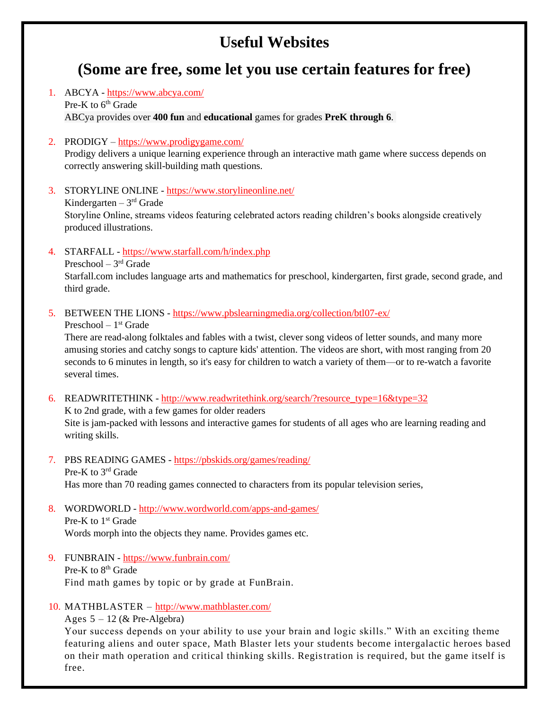# **Useful Websites**

# **(Some are free, some let you use certain features for free)**

- 1. ABCYA <https://www.abcya.com/> Pre-K to  $6<sup>th</sup>$  Grade ABCya provides over **400 fun** and **educational** games for grades **PreK through 6**.
- 2. PRODIGY <https://www.prodigygame.com/> Prodigy delivers a unique learning experience through an interactive math game where success depends on correctly answering skill-building math questions.
- 3. STORYLINE ONLINE <https://www.storylineonline.net/> Kindergarten  $-3<sup>rd</sup>$  Grade Storyline Online, streams videos featuring celebrated actors reading children's books alongside creatively produced illustrations.
- 4. STARFALL <https://www.starfall.com/h/index.php> Preschool – 3<sup>rd</sup> Grade Starfall.com includes language arts and mathematics for preschool, kindergarten, first grade, second grade, and third grade.
- 5. BETWEEN THE LIONS <https://www.pbslearningmedia.org/collection/btl07-ex/>

Preschool – 1 st Grade

There are read-along folktales and fables with a twist, clever song videos of letter sounds, and many more amusing stories and catchy songs to capture kids' attention. The videos are short, with most ranging from 20 seconds to 6 minutes in length, so it's easy for children to watch a variety of them—or to re-watch a favorite several times.

- 6. READWRITETHINK [http://www.readwritethink.org/search/?resource\\_type=16&type=32](http://www.readwritethink.org/search/?resource_type=16&type=32) K to 2nd grade, with a few games for older readers Site is jam-packed with lessons and interactive games for students of all ages who are learning reading and writing skills.
- 7. PBS READING GAMES <https://pbskids.org/games/reading/> Pre-K to 3rd Grade Has more than 70 reading games connected to characters from its popular television series,
- 8. WORDWORLD <http://www.wordworld.com/apps-and-games/> Pre-K to 1<sup>st</sup> Grade Words morph into the objects they name. Provides games etc.
- 9. FUNBRAIN <https://www.funbrain.com/> Pre-K to 8<sup>th</sup> Grade Find math games by topic or by grade at FunBrain.
- 10. MATHBLASTER <http://www.mathblaster.com/>

Ages  $5 - 12$  (& Pre-Algebra)

Your success depends on your ability to use your brain and logic skills." With an exciting theme featuring aliens and outer space, Math Blaster lets your students become intergalactic heroes based on their math operation and critical thinking skills. Registration is required, but the game itself is free.